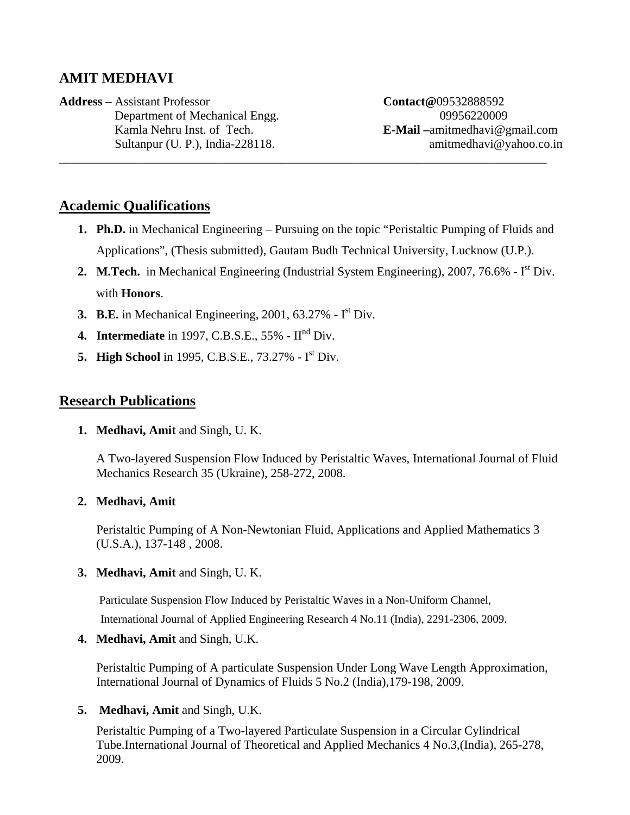# **AMIT MEDHAVI**

**Address** – Assistant Professor **Contact@**09532888592 Department of Mechanical Engg. 09956220009 \_\_\_\_\_\_\_\_\_\_\_\_\_\_\_\_\_\_\_\_\_\_\_\_\_\_\_\_\_\_\_\_\_\_\_\_\_\_\_\_\_\_\_\_\_\_\_\_\_\_\_\_\_\_\_\_\_\_\_\_\_\_\_\_\_\_\_\_\_\_\_\_\_\_\_\_\_\_\_

 Kamla Nehru Inst. of Tech. **E-Mail –**amitmedhavi@gmail.com Sultanpur (U. P.), India-228118. amitmedhavi@yahoo.co.in

## **Academic Qualifications**

- **1. Ph.D.** in Mechanical Engineering Pursuing on the topic "Peristaltic Pumping of Fluids and Applications", (Thesis submitted), Gautam Budh Technical University, Lucknow (U.P.).
- 2. M.Tech. in Mechanical Engineering (Industrial System Engineering), 2007, 76.6% I<sup>st</sup> Div. with **Honors**.
- **3. B.E.** in Mechanical Engineering, 2001, 63.27% Ist Div.
- **4. Intermediate** in 1997, C.B.S.E., 55% IInd Div.
- **5. High School** in 1995, C.B.S.E., 73.27% Ist Div.

## **Research Publications**

**1. Medhavi, Amit** and Singh, U. K.

A Two-layered Suspension Flow Induced by Peristaltic Waves, International Journal of Fluid Mechanics Research 35 (Ukraine), 258-272, 2008.

### **2. Medhavi, Amit**

Peristaltic Pumping of A Non-Newtonian Fluid, Applications and Applied Mathematics 3 (U.S.A.), 137-148 , 2008.

### **3. Medhavi, Amit** and Singh, U. K.

Particulate Suspension Flow Induced by Peristaltic Waves in a Non-Uniform Channel,

International Journal of Applied Engineering Research 4 No.11 (India), 2291-2306, 2009.

#### **4. Medhavi, Amit** and Singh, U.K.

Peristaltic Pumping of A particulate Suspension Under Long Wave Length Approximation, International Journal of Dynamics of Fluids 5 No.2 (India),179-198, 2009.

### **5. Medhavi, Amit** and Singh, U.K.

Peristaltic Pumping of a Two-layered Particulate Suspension in a Circular Cylindrical Tube.International Journal of Theoretical and Applied Mechanics 4 No.3,(India), 265-278, 2009.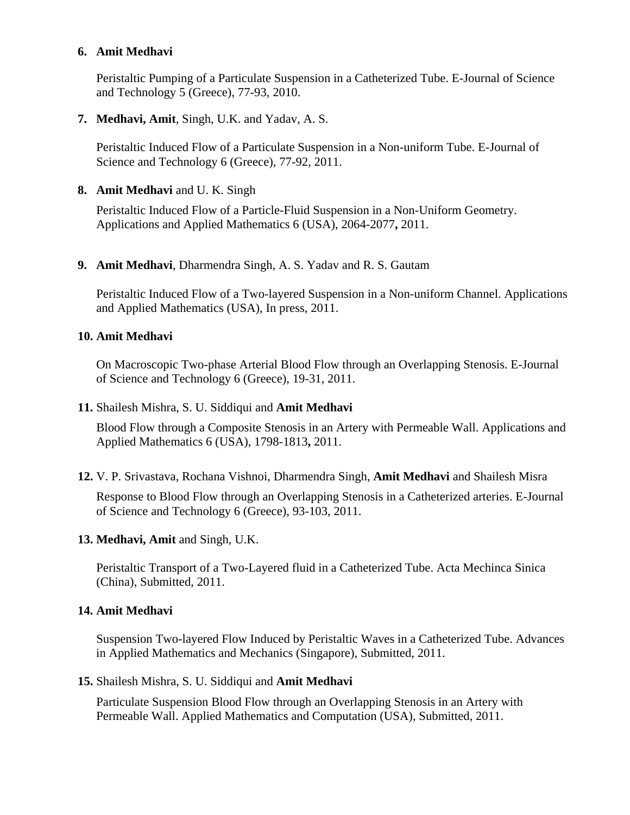#### **6. Amit Medhavi**

Peristaltic Pumping of a Particulate Suspension in a Catheterized Tube. E-Journal of Science and Technology 5 (Greece), 77-93, 2010.

**7. Medhavi, Amit**, Singh, U.K. and Yadav, A. S.

Peristaltic Induced Flow of a Particulate Suspension in a Non-uniform Tube. E-Journal of Science and Technology 6 (Greece), 77-92, 2011.

**8. Amit Medhavi** and U. K. Singh

Peristaltic Induced Flow of a Particle-Fluid Suspension in a Non-Uniform Geometry. Applications and Applied Mathematics 6 (USA), 2064-2077**,** 2011.

**9. Amit Medhavi**, Dharmendra Singh, A. S. Yadav and R. S. Gautam

Peristaltic Induced Flow of a Two-layered Suspension in a Non-uniform Channel. Applications and Applied Mathematics (USA), In press, 2011.

#### **10. Amit Medhavi**

On Macroscopic Two-phase Arterial Blood Flow through an Overlapping Stenosis. E-Journal of Science and Technology 6 (Greece), 19-31, 2011.

#### **11.** Shailesh Mishra, S. U. Siddiqui and **Amit Medhavi**

Blood Flow through a Composite Stenosis in an Artery with Permeable Wall. Applications and Applied Mathematics 6 (USA), 1798-1813**,** 2011.

**12.** V. P. Srivastava, Rochana Vishnoi, Dharmendra Singh, **Amit Medhavi** and Shailesh Misra

Response to Blood Flow through an Overlapping Stenosis in a Catheterized arteries. E-Journal of Science and Technology 6 (Greece), 93-103, 2011.

### **13. Medhavi, Amit** and Singh, U.K.

Peristaltic Transport of a Two-Layered fluid in a Catheterized Tube. Acta Mechinca Sinica (China), Submitted, 2011.

### **14. Amit Medhavi**

 Suspension Two-layered Flow Induced by Peristaltic Waves in a Catheterized Tube. Advances in Applied Mathematics and Mechanics (Singapore), Submitted, 2011.

#### **15.** Shailesh Mishra, S. U. Siddiqui and **Amit Medhavi**

Particulate Suspension Blood Flow through an Overlapping Stenosis in an Artery with Permeable Wall. Applied Mathematics and Computation (USA), Submitted, 2011.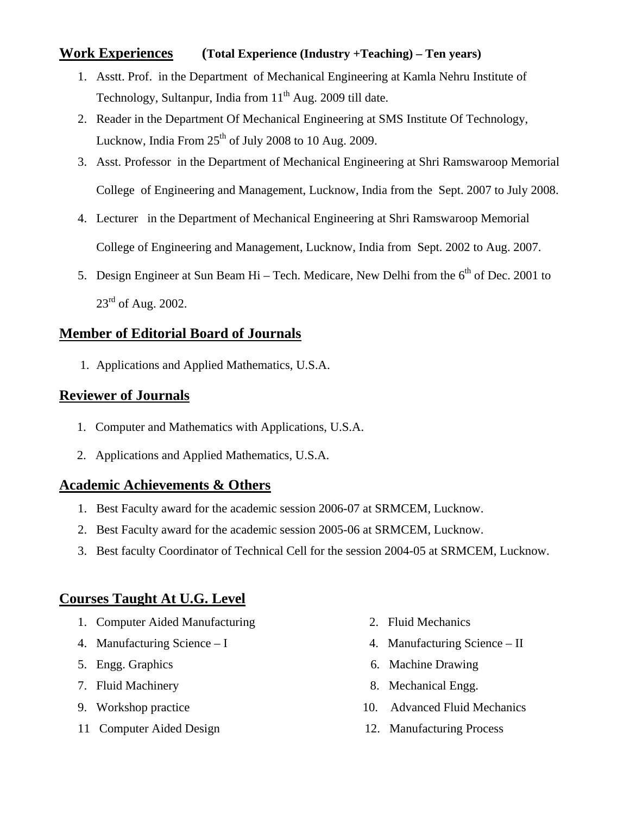## **Work Experiences (Total Experience (Industry +Teaching) – Ten years)**

- 1. Asstt. Prof. in the Department of Mechanical Engineering at Kamla Nehru Institute of Technology, Sultanpur, India from  $11<sup>th</sup>$  Aug. 2009 till date.
- 2. Reader in the Department Of Mechanical Engineering at SMS Institute Of Technology, Lucknow, India From  $25<sup>th</sup>$  of July 2008 to 10 Aug. 2009.
- 3. Asst. Professor in the Department of Mechanical Engineering at Shri Ramswaroop Memorial College of Engineering and Management, Lucknow, India from the Sept. 2007 to July 2008.
- 4. Lecturer in the Department of Mechanical Engineering at Shri Ramswaroop Memorial College of Engineering and Management, Lucknow, India from Sept. 2002 to Aug. 2007.
- 5. Design Engineer at Sun Beam Hi Tech. Medicare, New Delhi from the  $6<sup>th</sup>$  of Dec. 2001 to  $23<sup>rd</sup>$  of Aug. 2002.

# **Member of Editorial Board of Journals**

1. Applications and Applied Mathematics, U.S.A.

## **Reviewer of Journals**

- 1. Computer and Mathematics with Applications, U.S.A.
- 2. Applications and Applied Mathematics, U.S.A.

## **Academic Achievements & Others**

- 1. Best Faculty award for the academic session 2006-07 at SRMCEM, Lucknow.
- 2. Best Faculty award for the academic session 2005-06 at SRMCEM, Lucknow.
- 3. Best faculty Coordinator of Technical Cell for the session 2004-05 at SRMCEM, Lucknow.

# **Courses Taught At U.G. Level**

- 1. Computer Aided Manufacturing 2. Fluid Mechanics
- 
- 
- 
- 
- 11 Computer Aided Design 12. Manufacturing Process
- 
- 4. Manufacturing Science I 4. Manufacturing Science II
- 5. Engg. Graphics 6. Machine Drawing
- 7. Fluid Machinery 8. Mechanical Engg.
- 9. Workshop practice 10. Advanced Fluid Mechanics
	-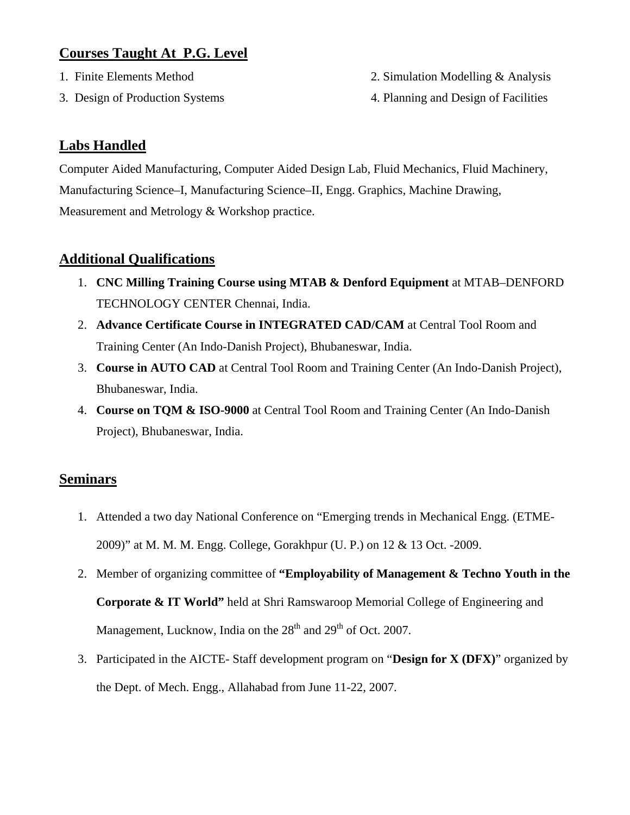# **Courses Taught At P.G. Level**

- 
- 

1. Finite Elements Method 2. Simulation Modelling & Analysis

3. Design of Production Systems 4. Planning and Design of Facilities

# **Labs Handled**

Computer Aided Manufacturing, Computer Aided Design Lab, Fluid Mechanics, Fluid Machinery, Manufacturing Science–I, Manufacturing Science–II, Engg. Graphics, Machine Drawing, Measurement and Metrology & Workshop practice.

# **Additional Qualifications**

- 1. **CNC Milling Training Course using MTAB & Denford Equipment** at MTAB–DENFORD TECHNOLOGY CENTER Chennai, India.
- 2. **Advance Certificate Course in INTEGRATED CAD/CAM** at Central Tool Room and Training Center (An Indo-Danish Project), Bhubaneswar, India.
- 3. **Course in AUTO CAD** at Central Tool Room and Training Center (An Indo-Danish Project), Bhubaneswar, India.
- 4. **Course on TQM & ISO-9000** at Central Tool Room and Training Center (An Indo-Danish Project), Bhubaneswar, India.

## **Seminars**

- 1. Attended a two day National Conference on "Emerging trends in Mechanical Engg. (ETME-2009)" at M. M. M. Engg. College, Gorakhpur (U. P.) on 12 & 13 Oct. -2009.
- 2. Member of organizing committee of **"Employability of Management & Techno Youth in the Corporate & IT World"** held at Shri Ramswaroop Memorial College of Engineering and Management, Lucknow, India on the  $28<sup>th</sup>$  and  $29<sup>th</sup>$  of Oct. 2007.
- 3. Participated in the AICTE- Staff development program on "**Design for X (DFX)**" organized by the Dept. of Mech. Engg., Allahabad from June 11-22, 2007.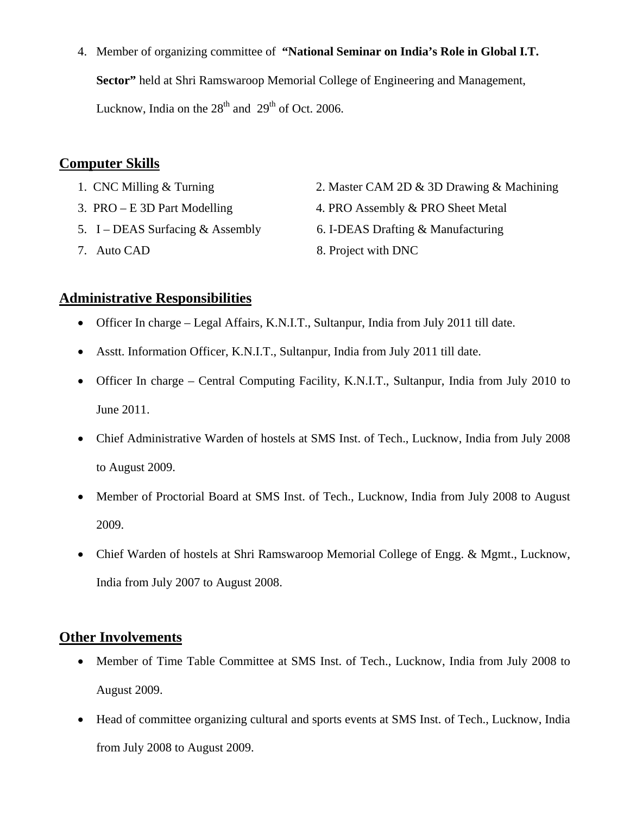4. Member of organizing committee of **"National Seminar on India's Role in Global I.T. Sector"** held at Shri Ramswaroop Memorial College of Engineering and Management, Lucknow, India on the  $28<sup>th</sup>$  and  $29<sup>th</sup>$  of Oct. 2006.

## **Computer Skills**

- 
- 
- 
- 
- 1. CNC Milling & Turning 2. Master CAM 2D & 3D Drawing & Machining
- 3. PRO E 3D Part Modelling 4. PRO Assembly & PRO Sheet Metal
- 5. I DEAS Surfacing & Assembly 6. I-DEAS Drafting & Manufacturing
- 7. Auto CAD 8. Project with DNC

### **Administrative Responsibilities**

- Officer In charge Legal Affairs, K.N.I.T., Sultanpur, India from July 2011 till date.
- Asstt. Information Officer, K.N.I.T., Sultanpur, India from July 2011 till date.
- Officer In charge Central Computing Facility, K.N.I.T., Sultanpur, India from July 2010 to June 2011.
- Chief Administrative Warden of hostels at SMS Inst. of Tech., Lucknow, India from July 2008 to August 2009.
- Member of Proctorial Board at SMS Inst. of Tech., Lucknow, India from July 2008 to August 2009.
- Chief Warden of hostels at Shri Ramswaroop Memorial College of Engg. & Mgmt., Lucknow, India from July 2007 to August 2008.

## **Other Involvements**

- Member of Time Table Committee at SMS Inst. of Tech., Lucknow, India from July 2008 to August 2009.
- Head of committee organizing cultural and sports events at SMS Inst. of Tech., Lucknow, India from July 2008 to August 2009.